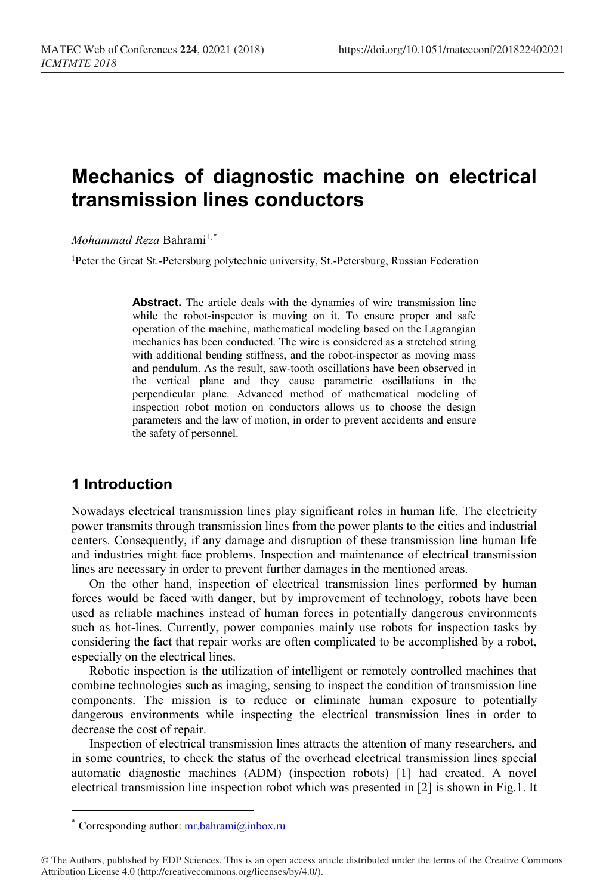# **Mechanics of diagnostic machine on electrical transmission lines conductors**

*Mohammad Reza* Bahrami<sup>1,[\\*](#page-0-0)</sup>

<sup>1</sup>Peter the Great St.-Petersburg polytechnic university, St.-Petersburg, Russian Federation

**Abstract.** The article deals with the dynamics of wire transmission line while the robot-inspector is moving on it. To ensure proper and safe operation of the machine, mathematical modeling based on the Lagrangian mechanics has been conducted. The wire is considered as a stretched string with additional bending stiffness, and the robot-inspector as moving mass and pendulum. As the result, saw-tooth oscillations have been observed in the vertical plane and they cause parametric oscillations in the perpendicular plane. Advanced method of mathematical modeling of inspection robot motion on conductors allows us to choose the design parameters and the law of motion, in order to prevent accidents and ensure the safety of personnel.

# **1 Introduction**

Nowadays electrical transmission lines play significant roles in human life. The electricity power transmits through transmission lines from the power plants to the cities and industrial centers. Consequently, if any damage and disruption of these transmission line human life and industries might face problems. Inspection and maintenance of electrical transmission lines are necessary in order to prevent further damages in the mentioned areas.

On the other hand, inspection of electrical transmission lines performed by human forces would be faced with danger, but by improvement of technology, robots have been used as reliable machines instead of human forces in potentially dangerous environments such as hot-lines. Currently, power companies mainly use robots for inspection tasks by considering the fact that repair works are often complicated to be accomplished by a robot, especially on the electrical lines.

Robotic inspection is the utilization of intelligent or remotely controlled machines that combine technologies such as imaging, sensing to inspect the condition of transmission line components. The mission is to reduce or eliminate human exposure to potentially dangerous environments while inspecting the electrical transmission lines in order to decrease the cost of repair.

Inspection of electrical transmission lines attracts the attention of many researchers, and in some countries, to check the status of the overhead electrical transmission lines special automatic diagnostic machines (ADM) (inspection robots) [1] had created. A novel electrical transmission line inspection robot which was presented in [2] is shown in Fig.1. It

 $\overline{a}$ 

Corresponding author: [mr.bahrami@inbox.ru](mailto:mr.bahrami@inbox.ru)

<span id="page-0-0"></span><sup>©</sup> The Authors, published by EDP Sciences. This is an open access article distributed under the terms of the Creative Commons Attribution License 4.0 (http://creativecommons.org/licenses/by/4.0/).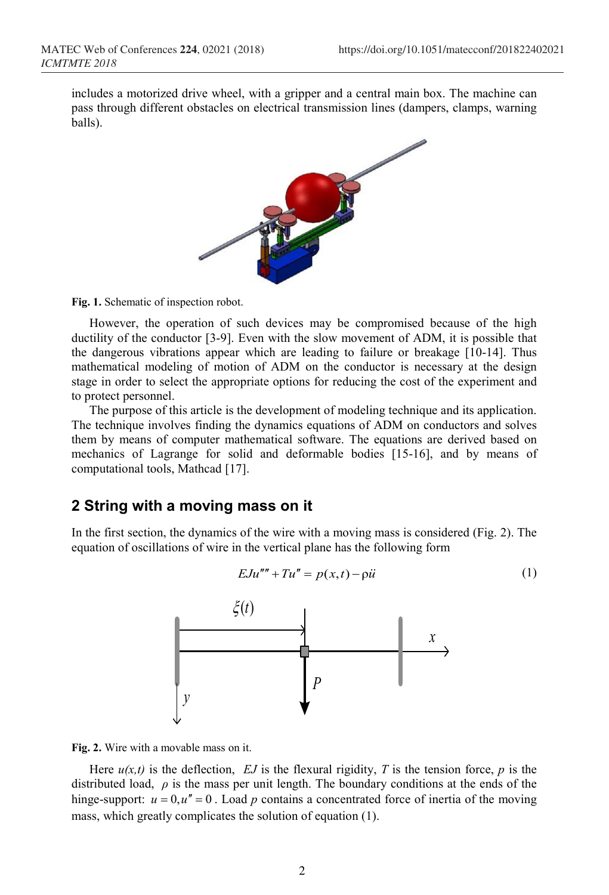includes a motorized drive wheel, with a gripper and a central main box. The machine can pass through different obstacles on electrical transmission lines (dampers, clamps, warning balls).



**Fig. 1.** Schematic of inspection robot.

However, the operation of such devices may be compromised because of the high ductility of the conductor [3-9]. Even with the slow movement of ADM, it is possible that the dangerous vibrations appear which are leading to failure or breakage [10-14]. Thus mathematical modeling of motion of ADM on the conductor is necessary at the design stage in order to select the appropriate options for reducing the cost of the experiment and to protect personnel.

The purpose of this article is the development of modeling technique and its application. The technique involves finding the dynamics equations of ADM on conductors and solves them by means of computer mathematical software. The equations are derived based on mechanics of Lagrange for solid and deformable bodies [15-16], and by means of computational tools, Mathcad [17].

## **2 String with a moving mass on it**

In the first section, the dynamics of the wire with a moving mass is considered (Fig. 2). The equation of oscillations of wire in the vertical plane has the following form

$$
EJu''' + Tu'' = p(x,t) - \rho \ddot{u}
$$
 (1)



**Fig. 2.** Wire with a movable mass on it.

Here  $u(x,t)$  is the deflection, *EJ* is the flexural rigidity, *T* is the tension force, *p* is the distributed load, *ρ* is the mass per unit length. The boundary conditions at the ends of the hinge-support:  $u = 0$ ,  $u'' = 0$ . Load p contains a concentrated force of inertia of the moving mass, which greatly complicates the solution of equation (1).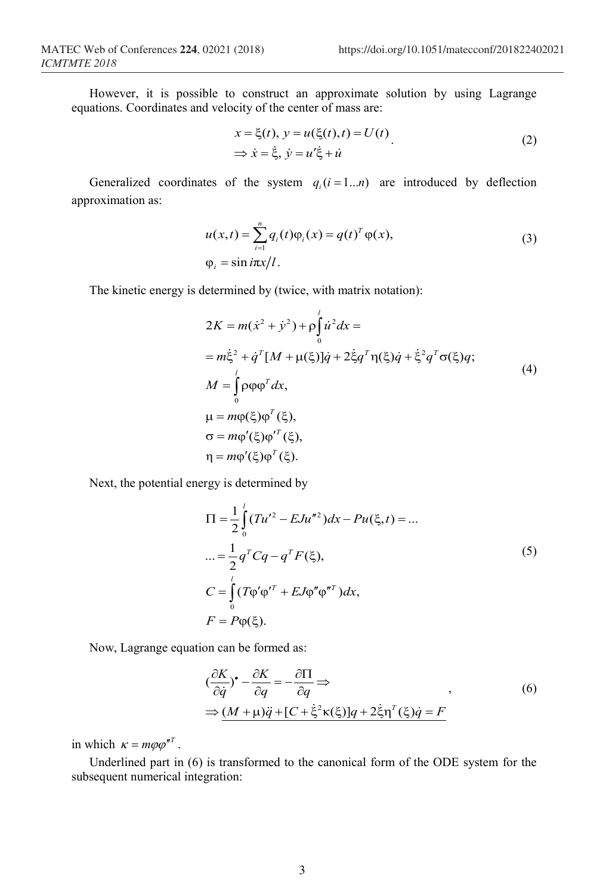However, it is possible to construct an approximate solution by using Lagrange equations. Coordinates and velocity of the center of mass are:

$$
x = \xi(t), y = u(\xi(t), t) = U(t)
$$
  
\n
$$
\Rightarrow \dot{x} = \dot{\xi}, \dot{y} = u'\dot{\xi} + \dot{u}
$$
\n(2)

Generalized coordinates of the system  $q_i (i = 1...n)$  are introduced by deflection approximation as:

$$
u(x,t) = \sum_{i=1}^{n} q_i(t)\varphi_i(x) = q(t)^T \varphi(x),
$$
  
\n
$$
\varphi_i = \sin i\pi x/l.
$$
\n(3)

The kinetic energy is determined by (twice, with matrix notation):

$$
2K = m(\dot{x}^2 + \dot{y}^2) + \rho \int_0^l \dot{u}^2 dx =
$$
  
\n
$$
= m\dot{\xi}^2 + \dot{q}^T[M + \mu(\xi)]\dot{q} + 2\dot{\xi}q^T\eta(\xi)\dot{q} + \dot{\xi}^2q^T\sigma(\xi)q;
$$
  
\n
$$
M = \int_0^l \rho \rho \rho^T dx,
$$
  
\n
$$
\mu = m\rho(\xi)\rho^T(\xi),
$$
  
\n
$$
\sigma = m\rho'(\xi)\rho^T(\xi),
$$
  
\n
$$
\eta = m\rho'(\xi)\rho^T(\xi).
$$
  
\n(4)

Next, the potential energy is determined by

$$
\Pi = \frac{1}{2} \int_{0}^{l} (Tu'^{2} - EJu''^{2}) dx - Pu(\xi, t) = ...
$$
  
\n
$$
... = \frac{1}{2} q^{T} Cq - q^{T} F(\xi),
$$
  
\n
$$
C = \int_{0}^{l} (T\varphi'\varphi'^{T} + EJ\varphi''\varphi''^{T}) dx,
$$
  
\n
$$
F = P\varphi(\xi).
$$
  
\n(5)

Now, Lagrange equation can be formed as:

$$
(\frac{\partial K}{\partial \dot{q}})^{\bullet} - \frac{\partial K}{\partial q} = -\frac{\partial \Pi}{\partial q} \Rightarrow
$$
  
\n
$$
\Rightarrow \underline{(M + \mu)\ddot{q} + [C + \dot{\xi}^2 \kappa(\xi)]q + 2\dot{\xi}\eta^T(\xi)\dot{q} = F}
$$
\n(6)

in which  $\kappa = m \varphi \varphi^{nT}$ .

Underlined part in (6) is transformed to the canonical form of the ODE system for the subsequent numerical integration: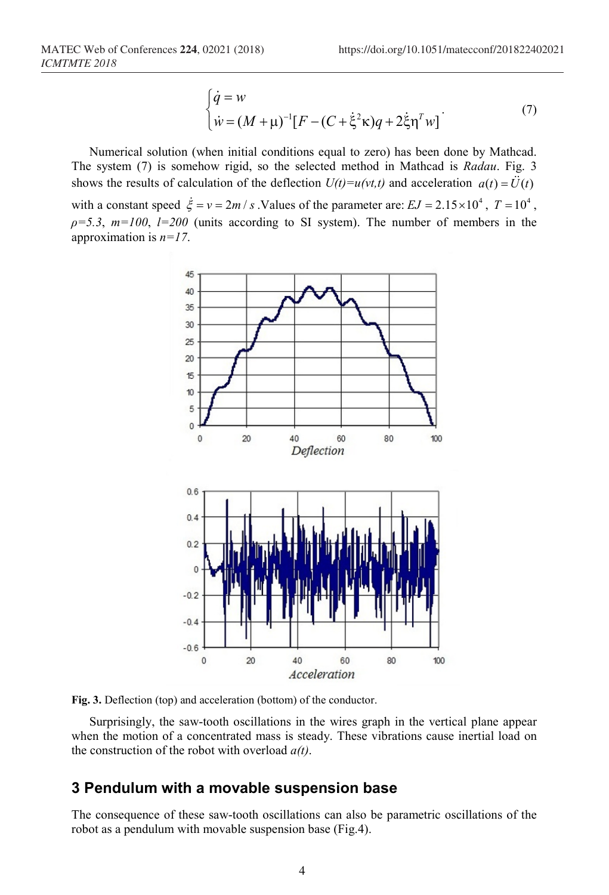$$
\begin{cases}\n\dot{q} = w \\
\dot{w} = (M + \mu)^{-1} [F - (C + \dot{\xi}^2 \kappa) q + 2 \dot{\xi} \eta^T w]\n\end{cases} (7)
$$

Numerical solution (when initial conditions equal to zero) has been done by Mathcad. The system (7) is somehow rigid, so the selected method in Mathcad is *Radau*. Fig. 3 shows the results of calculation of the deflection  $U(t) = u(vt, t)$  and acceleration  $a(t) = \ddot{U}(t)$ with a constant speed  $\dot{\xi} = v = 2m/s$ . Values of the parameter are:  $EJ = 2.15 \times 10^4$ ,  $T = 10^4$ ,  $\rho = 5.3$ ,  $m=100$ ,  $l=200$  (units according to SI system). The number of members in the approximation is *n=17*.



**Fig. 3.** Deflection (top) and acceleration (bottom) of the conductor.

Surprisingly, the saw-tooth oscillations in the wires graph in the vertical plane appear when the motion of a concentrated mass is steady. These vibrations cause inertial load on the construction of the robot with overload *a(t)*.

# **3 Pendulum with a movable suspension base**

The consequence of these saw-tooth oscillations can also be parametric oscillations of the robot as a pendulum with movable suspension base (Fig.4).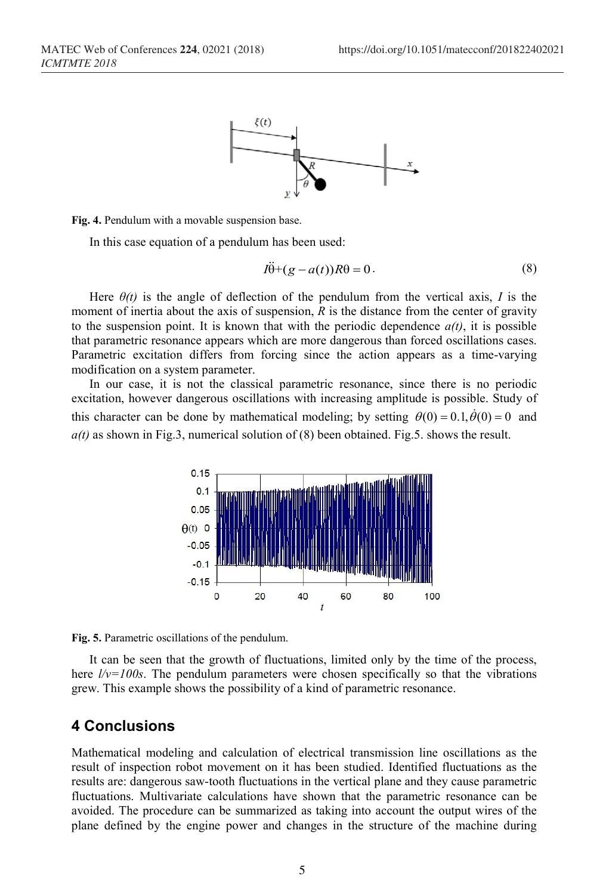

#### **Fig. 4.** Pendulum with a movable suspension base.

In this case equation of a pendulum has been used:

$$
I\ddot{\theta} + (g - a(t))R\theta = 0.
$$
 (8)

Here  $\theta(t)$  is the angle of deflection of the pendulum from the vertical axis, *I* is the moment of inertia about the axis of suspension, *R* is the distance from the center of gravity to the suspension point. It is known that with the periodic dependence  $a(t)$ , it is possible that parametric resonance appears which are more dangerous than forced oscillations cases. Parametric excitation differs from forcing since the action appears as a time-varying modification on a system parameter.

In our case, it is not the classical parametric resonance, since there is no periodic excitation, however dangerous oscillations with increasing amplitude is possible. Study of this character can be done by mathematical modeling; by setting  $\theta(0) = 0.1, \dot{\theta}(0) = 0$  and *a(t)* as shown in Fig.3, numerical solution of (8) been obtained. Fig.5. shows the result.



**Fig. 5.** Parametric oscillations of the pendulum.

It can be seen that the growth of fluctuations, limited only by the time of the process, here *l/v=100s*. The pendulum parameters were chosen specifically so that the vibrations grew. This example shows the possibility of a kind of parametric resonance.

#### **4 Conclusions**

Mathematical modeling and calculation of electrical transmission line oscillations as the result of inspection robot movement on it has been studied. Identified fluctuations as the results are: dangerous saw-tooth fluctuations in the vertical plane and they cause parametric fluctuations. Multivariate calculations have shown that the parametric resonance can be avoided. The procedure can be summarized as taking into account the output wires of the plane defined by the engine power and changes in the structure of the machine during